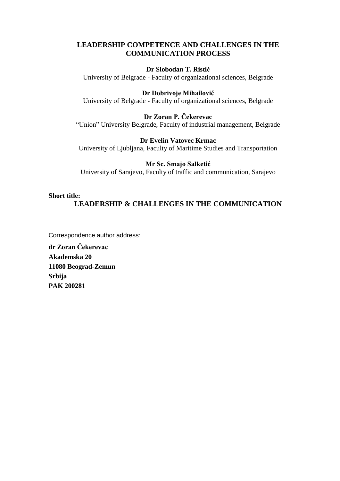## **LEADERSHIP COMPETENCE AND CHALLENGES IN THE COMMUNICATION PROCESS**

## **Dr Slobodan T. Ristić**

University of Belgrade - Faculty of organizational sciences, Belgrade

## **Dr Dobrivoje Mihailović**

University of Belgrade - Faculty of organizational sciences, Belgrade

## **Dr Zoran P. Čekerevac**

"Union" University Belgrade, Faculty of industrial management, Belgrade

#### **Dr Evelin Vatovec Krmac**

University of Ljubljana, Faculty of Maritime Studies and Transportation

## **Mr Sc. Smajo Salketić**

University of Sarajevo, Faculty of traffic and communication, Sarajevo

#### **Short title:**

# **LEADERSHIP & CHALLENGES IN THE COMMUNICATION**

Correspondence author address:

**dr Zoran Čekerevac Akademska 20 11080 Beograd-Zemun Srbija PAK 200281**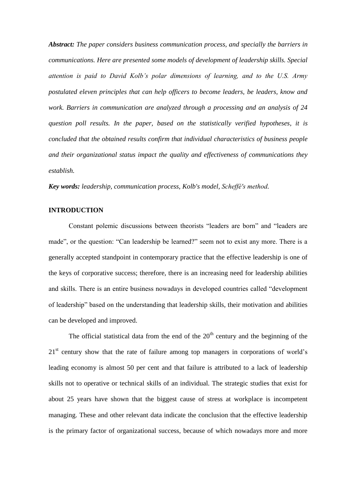*Abstract: The paper considers business communication process, and specially the barriers in communications. Here are presented some models of development of leadership skills. Special attention is paid to David Kolb's polar dimensions of learning, and to the U.S. Army postulated eleven principles that can help officers to become leaders, be leaders, know and work. Barriers in communication are analyzed through a processing and an analysis of 24 question poll results. In the paper, based on the statistically verified hypotheses, it is concluded that the obtained results confirm that individual characteristics of business people and their organizational status impact the quality and effectiveness of communications they establish.*

*Key words: leadership, communication process, Kolb's model, Scheffé's method.*

### **INTRODUCTION**

Constant polemic discussions between theorists "leaders are born" and "leaders are made", or the question: "Can leadership be learned?" seem not to exist any more. There is a generally accepted standpoint in contemporary practice that the effective leadership is one of the keys of corporative success; therefore, there is an increasing need for leadership abilities and skills. There is an entire business nowadays in developed countries called "development of leadership" based on the understanding that leadership skills, their motivation and abilities can be developed and improved.

The official statistical data from the end of the  $20<sup>th</sup>$  century and the beginning of the 21<sup>st</sup> century show that the rate of failure among top managers in corporations of world's leading economy is almost 50 per cent and that failure is attributed to a lack of leadership skills not to operative or technical skills of an individual. The strategic studies that exist for about 25 years have shown that the biggest cause of stress at workplace is incompetent managing. These and other relevant data indicate the conclusion that the effective leadership is the primary factor of organizational success, because of which nowadays more and more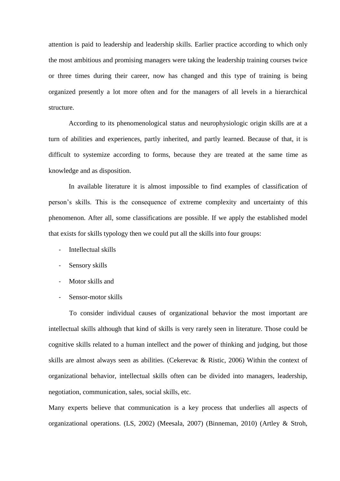attention is paid to leadership and leadership skills. Earlier practice according to which only the most ambitious and promising managers were taking the leadership training courses twice or three times during their career, now has changed and this type of training is being organized presently a lot more often and for the managers of all levels in a hierarchical structure.

According to its phenomenological status and neurophysiologic origin skills are at a turn of abilities and experiences, partly inherited, and partly learned. Because of that, it is difficult to systemize according to forms, because they are treated at the same time as knowledge and as disposition.

In available literature it is almost impossible to find examples of classification of person's skills. This is the consequence of extreme complexity and uncertainty of this phenomenon. After all, some classifications are possible. If we apply the established model that exists for skills typology then we could put all the skills into four groups:

- Intellectual skills
- Sensory skills
- Motor skills and
- Sensor-motor skills

To consider individual causes of organizational behavior the most important are intellectual skills although that kind of skills is very rarely seen in literature. Those could be cognitive skills related to a human intellect and the power of thinking and judging, but those skills are almost always seen as abilities. (Cekerevac & Ristic, 2006) Within the context of organizational behavior, intellectual skills often can be divided into managers, leadership, negotiation, communication, sales, social skills, etc.

Many experts believe that communication is a key process that underlies all aspects of organizational operations. (LS, 2002) (Meesala, 2007) (Binneman, 2010) (Artley & Stroh,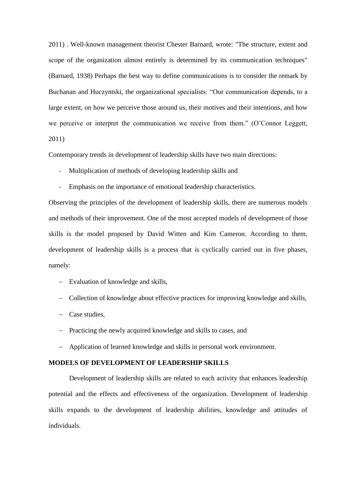2011) . Well-known management theorist Chester Barnard, wrote: "The structure, extent and scope of the organization almost entirely is determined by its communication techniques" (Barnard, 1938) Perhaps the best way to define communications is to consider the remark by Buchanan and Huczyntski, the organizational specialists: "Our communication depends, to a large extent, on how we perceive those around us, their motives and their intentions, and how we perceive or interpret the communication we receive from them." (O'Connor Leggett, 2011)

Contemporary trends in development of leadership skills have two main directions:

- Multiplication of methods of developing leadership skills and
- Emphasis on the importance of emotional leadership characteristics.

Observing the principles of the development of leadership skills, there are numerous models and methods of their improvement. One of the most accepted models of development of those skills is the model proposed by David Witten and Kim Cameron. According to them, development of leadership skills is a process that is cyclically carried out in five phases, namely:

- Evaluation of knowledge and skills,
- Collection of knowledge about effective practices for improving knowledge and skills,
- Case studies,
- Practicing the newly acquired knowledge and skills to cases, and
- Application of learned knowledge and skills in personal work environment.

#### **MODELS OF DEVELOPMENT OF LEADERSHIP SKILLS**

Development of leadership skills are related to each activity that enhances leadership potential and the effects and effectiveness of the organization. Development of leadership skills expands to the development of leadership abilities, knowledge and attitudes of individuals.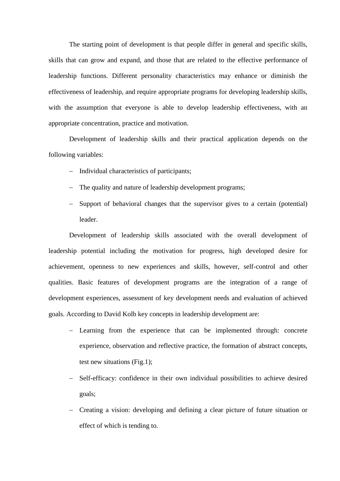The starting point of development is that people differ in general and specific skills, skills that can grow and expand, and those that are related to the effective performance of leadership functions. Different personality characteristics may enhance or diminish the effectiveness of leadership, and require appropriate programs for developing leadership skills, with the assumption that everyone is able to develop leadership effectiveness, with an appropriate concentration, practice and motivation.

Development of leadership skills and their practical application depends on the following variables:

- Individual characteristics of participants;
- The quality and nature of leadership development programs;
- Support of behavioral changes that the supervisor gives to a certain (potential) leader.

Development of leadership skills associated with the overall development of leadership potential including the motivation for progress, high developed desire for achievement, openness to new experiences and skills, however, self-control and other qualities. Basic features of development programs are the integration of a range of development experiences, assessment of key development needs and evaluation of achieved goals. According to David Kolb key concepts in leadership development are:

- Learning from the experience that can be implemented through: concrete experience, observation and reflective practice, the formation of abstract concepts, test new situations (Fig.1);
- Self-efficacy: confidence in their own individual possibilities to achieve desired goals;
- Creating a vision: developing and defining a clear picture of future situation or effect of which is tending to.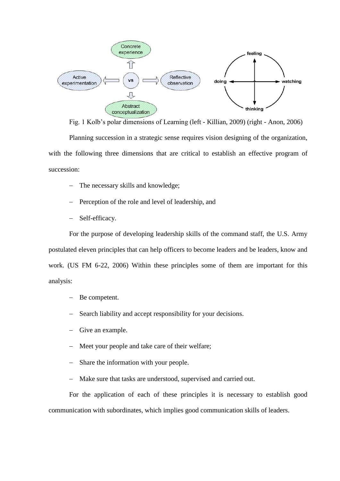

Fig. 1 Kolb's polar dimensions of Learning (left - Killian, 2009) (right - Anon, 2006) Planning succession in a strategic sense requires vision designing of the organization, with the following three dimensions that are critical to establish an effective program of succession:

- The necessary skills and knowledge;
- Perception of the role and level of leadership, and
- Self-efficacy.

For the purpose of developing leadership skills of the command staff, the U.S. Army postulated eleven principles that can help officers to become leaders and be leaders, know and work. (US FM 6-22, 2006) Within these principles some of them are important for this analysis:

- Be competent.
- Search liability and accept responsibility for your decisions.
- Give an example.
- Meet your people and take care of their welfare;
- Share the information with your people.
- Make sure that tasks are understood, supervised and carried out.

For the application of each of these principles it is necessary to establish good communication with subordinates, which implies good communication skills of leaders.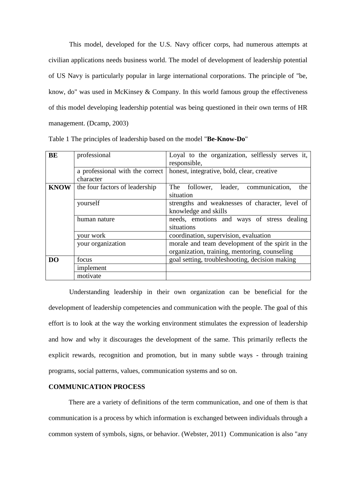This model, developed for the U.S. Navy officer corps, had numerous attempts at civilian applications needs business world. The model of development of leadership potential of US Navy is particularly popular in large international corporations. The principle of "be, know, do" was used in McKinsey & Company. In this world famous group the effectiveness of this model developing leadership potential was being questioned in their own terms of HR management. (Dcamp, 2003)

| BE             | professional                    | Loyal to the organization, selflessly serves it,         |
|----------------|---------------------------------|----------------------------------------------------------|
|                |                                 | responsible,                                             |
|                | a professional with the correct | honest, integrative, bold, clear, creative               |
|                | character                       |                                                          |
| <b>KNOW</b>    | the four factors of leadership  | The follower, leader, communication,<br>the<br>situation |
|                |                                 |                                                          |
|                | yourself                        | strengths and weaknesses of character, level of          |
|                |                                 | knowledge and skills                                     |
|                | human nature                    | needs, emotions and ways of stress dealing               |
|                |                                 | situations                                               |
|                | your work                       | coordination, supervision, evaluation                    |
|                | your organization               | morale and team development of the spirit in the         |
|                |                                 | organization, training, mentoring, counseling            |
| D <sub>O</sub> | focus                           | goal setting, troubleshooting, decision making           |
|                | implement                       |                                                          |
|                | motivate                        |                                                          |

Table 1 The principles of leadership based on the model "**Be-Know-Do**"

Understanding leadership in their own organization can be beneficial for the development of leadership competencies and communication with the people. The goal of this effort is to look at the way the working environment stimulates the expression of leadership and how and why it discourages the development of the same. This primarily reflects the explicit rewards, recognition and promotion, but in many subtle ways - through training programs, social patterns, values, communication systems and so on.

#### **COMMUNICATION PROCESS**

There are a variety of definitions of the term communication, and one of them is that communication is a process by which information is exchanged between individuals through a common system of symbols, signs, or behavior. (Webster, 2011) Communication is also "any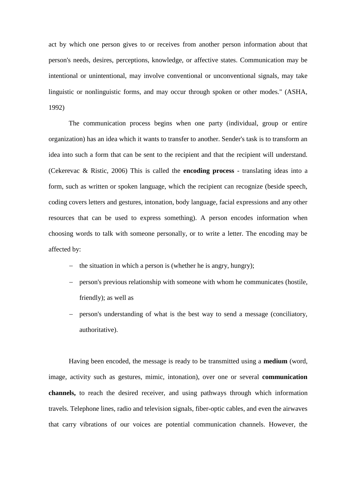act by which one person gives to or receives from another person information about that person's needs, desires, perceptions, knowledge, or affective states. Communication may be intentional or unintentional, may involve conventional or unconventional signals, may take linguistic or nonlinguistic forms, and may occur through spoken or other modes." (ASHA, 1992)

The communication process begins when one party (individual, group or entire organization) has an idea which it wants to transfer to another. Sender's task is to transform an idea into such a form that can be sent to the recipient and that the recipient will understand. (Cekerevac & Ristic, 2006) This is called the **encoding process** - translating ideas into a form, such as written or spoken language, which the recipient can recognize (beside speech, coding covers letters and gestures, intonation, body language, facial expressions and any other resources that can be used to express something). A person encodes information when choosing words to talk with someone personally, or to write a letter. The encoding may be affected by:

- $\hbox{–}$  the situation in which a person is (whether he is angry, hungry);
- person's previous relationship with someone with whom he communicates (hostile, friendly); as well as
- person's understanding of what is the best way to send a message (conciliatory, authoritative).

Having been encoded, the message is ready to be transmitted using a **medium** (word, image, activity such as gestures, mimic, intonation), over one or several **communication channels,** to reach the desired receiver, and using pathways through which information travels. Telephone lines, radio and television signals, fiber-optic cables, and even the airwaves that carry vibrations of our voices are potential communication channels. However, the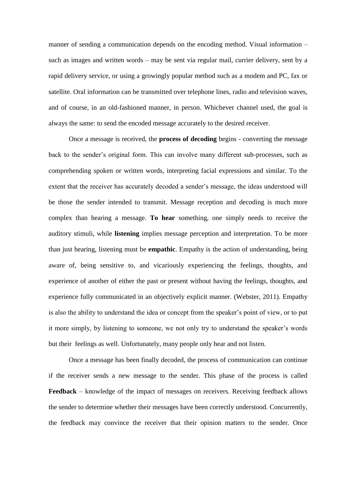manner of sending a communication depends on the encoding method. Visual information – such as images and written words – may be sent via regular mail, currier delivery, sent by a rapid delivery service, or using a growingly popular method such as a modem and PC, fax or satellite. Oral information can be transmitted over telephone lines, radio and television waves, and of course, in an old-fashioned manner, in person. Whichever channel used, the goal is always the same: to send the encoded message accurately to the desired receiver.

Once a message is received, the **process of decoding** begins - converting the message back to the sender's original form. This can involve many different sub-processes, such as comprehending spoken or written words, interpreting facial expressions and similar. To the extent that the receiver has accurately decoded a sender's message, the ideas understood will be those the sender intended to transmit. Message reception and decoding is much more complex than hearing a message. **To hear** something, one simply needs to receive the auditory stimuli, while **listening** implies message perception and interpretation. To be more than just hearing, listening must be **empathic**. Empathy is the action of understanding, being aware of, being sensitive to, and vicariously experiencing the feelings, thoughts, and experience of another of either the past or present without having the feelings, thoughts, and experience fully communicated in an objectively explicit manner. (Webster, 2011). Empathy is also the ability to understand the idea or concept from the speaker's point of view, or to put it more simply, by listening to someone, we not only try to understand the speaker's words but their feelings as well. Unfortunately, many people only hear and not listen.

Once a message has been finally decoded, the process of communication can continue if the receiver sends a new message to the sender. This phase of the process is called **Feedback** – knowledge of the impact of messages on receivers. Receiving feedback allows the sender to determine whether their messages have been correctly understood. Concurrently, the feedback may convince the receiver that their opinion matters to the sender. Once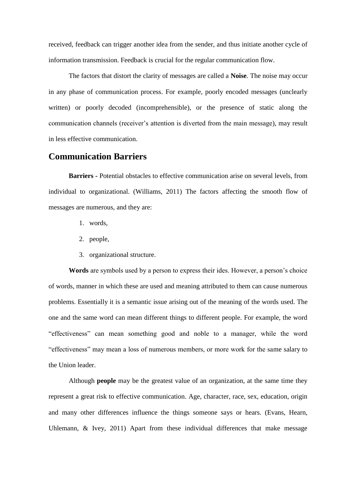received, feedback can trigger another idea from the sender, and thus initiate another cycle of information transmission. Feedback is crucial for the regular communication flow.

The factors that distort the clarity of messages are called a **Noise**. The noise may occur in any phase of communication process. For example, poorly encoded messages (unclearly written) or poorly decoded (incomprehensible), or the presence of static along the communication channels (receiver's attention is diverted from the main message), may result in less effective communication.

## **Communication Barriers**

**Barriers -** Potential obstacles to effective communication arise on several levels, from individual to organizational. (Williams, 2011) The factors affecting the smooth flow of messages are numerous, and they are:

- 1. words,
- 2. people,
- 3. organizational structure.

**Words** are symbols used by a person to express their ides. However, a person's choice of words, manner in which these are used and meaning attributed to them can cause numerous problems. Essentially it is a semantic issue arising out of the meaning of the words used. The one and the same word can mean different things to different people. For example, the word "effectiveness" can mean something good and noble to a manager, while the word "effectiveness" may mean a loss of numerous members, or more work for the same salary to the Union leader.

Although **people** may be the greatest value of an organization, at the same time they represent a great risk to effective communication. Age, character, race, sex, education, origin and many other differences influence the things someone says or hears. (Evans, Hearn, Uhlemann, & Ivey, 2011) Apart from these individual differences that make message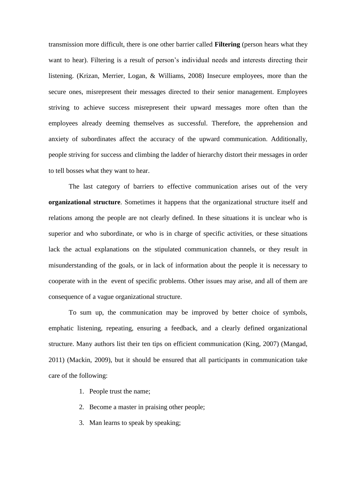transmission more difficult, there is one other barrier called **Filtering** (person hears what they want to hear). Filtering is a result of person's individual needs and interests directing their listening. (Krizan, Merrier, Logan, & Williams, 2008) Insecure employees, more than the secure ones, misrepresent their messages directed to their senior management. Employees striving to achieve success misrepresent their upward messages more often than the employees already deeming themselves as successful. Therefore, the apprehension and anxiety of subordinates affect the accuracy of the upward communication. Additionally, people striving for success and climbing the ladder of hierarchy distort their messages in order to tell bosses what they want to hear.

The last category of barriers to effective communication arises out of the very **organizational structure**. Sometimes it happens that the organizational structure itself and relations among the people are not clearly defined. In these situations it is unclear who is superior and who subordinate, or who is in charge of specific activities, or these situations lack the actual explanations on the stipulated communication channels, or they result in misunderstanding of the goals, or in lack of information about the people it is necessary to cooperate with in the event of specific problems. Other issues may arise, and all of them are consequence of a vague organizational structure.

To sum up, the communication may be improved by better choice of symbols, emphatic listening, repeating, ensuring a feedback, and a clearly defined organizational structure. Many authors list their ten tips on efficient communication (King, 2007) (Mangad, 2011) (Mackin, 2009), but it should be ensured that all participants in communication take care of the following:

- 1. People trust the name;
- 2. Become a master in praising other people;
- 3. Man learns to speak by speaking;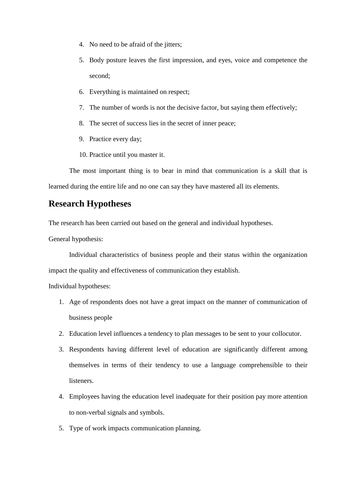- 4. No need to be afraid of the jitters;
- 5. Body posture leaves the first impression, and eyes, voice and competence the second;
- 6. Everything is maintained on respect;
- 7. The number of words is not the decisive factor, but saying them effectively;
- 8. The secret of success lies in the secret of inner peace;
- 9. Practice every day;
- 10. Practice until you master it.

The most important thing is to bear in mind that communication is a skill that is learned during the entire life and no one can say they have mastered all its elements.

# **Research Hypotheses**

The research has been carried out based on the general and individual hypotheses.

General hypothesis:

Individual characteristics of business people and their status within the organization impact the quality and effectiveness of communication they establish.

Individual hypotheses:

- 1. Age of respondents does not have a great impact on the manner of communication of business people
- 2. Education level influences a tendency to plan messages to be sent to your collocutor.
- 3. Respondents having different level of education are significantly different among themselves in terms of their tendency to use a language comprehensible to their **listeners**
- 4. Employees having the education level inadequate for their position pay more attention to non-verbal signals and symbols.
- 5. Type of work impacts communication planning.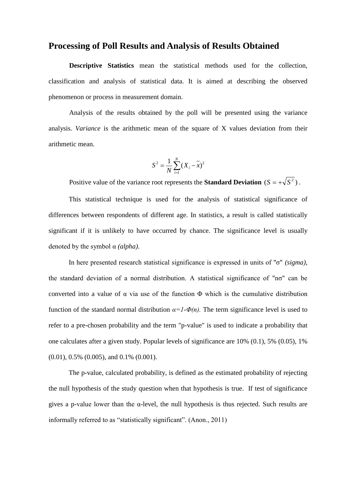## **Processing of Poll Results and Analysis of Results Obtained**

**Descriptive Statistics** mean the statistical methods used for the collection, classification and analysis of statistical data. It is aimed at describing the observed phenomenon or process in measurement domain.

Analysis of the results obtained by the poll will be presented using the variance analysis. *Variance* is the arithmetic mean of the square of X values deviation from their arithmetic mean.

$$
S^{2} = \frac{1}{N} \sum_{i=1}^{N} (X_{i} - \overline{x})^{2}
$$

Positive value of the variance root represents the **Standard Deviation**  $(S = +\sqrt{S^2})$ .

This statistical technique is used for the analysis of statistical significance of differences between respondents of different age. In statistics, a result is called statistically significant if it is unlikely to have occurred by chance. The significance level is usually denoted by the symbol α *(alpha)*.

In here presented research statistical significance is expressed in units of "σ" *(sigma)*, the standard deviation of a normal distribution. A statistical significance of "nσ" can be converted into a value of α via use of the function Φ which is the cumulative distribution function of the standard normal distribution  $\alpha = I - \Phi(n)$ . The term significance level is used to refer to a pre-chosen probability and the term "p-value" is used to indicate a probability that one calculates after a given study. Popular levels of significance are 10% (0.1), 5% (0.05), 1% (0.01), 0.5% (0.005), and 0.1% (0.001).

The p-value, calculated probability, is defined as the estimated probability of rejecting the null hypothesis of the study question when that hypothesis is true. If test of significance gives a p-value lower than the  $\alpha$ -level, the null hypothesis is thus rejected. Such results are informally referred to as "statistically significant". (Anon., 2011)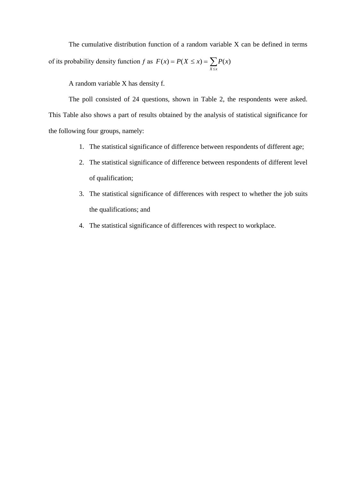The cumulative distribution function of a random variable X can be defined in terms of its probability density function f as  $F(x) = P(X \le x) = \sum_{X \le x}$  $= P(X \leq x) =$ *X x*  $F(x) = P(X \leq x) = \sum P(x)$ 

A random variable X has density f.

The poll consisted of 24 questions, shown in Table 2, the respondents were asked. This Table also shows a part of results obtained by the analysis of statistical significance for the following four groups, namely:

- 1. The statistical significance of difference between respondents of different age;
- 2. The statistical significance of difference between respondents of different level of qualification;
- 3. The statistical significance of differences with respect to whether the job suits the qualifications; and
- 4. The statistical significance of differences with respect to workplace.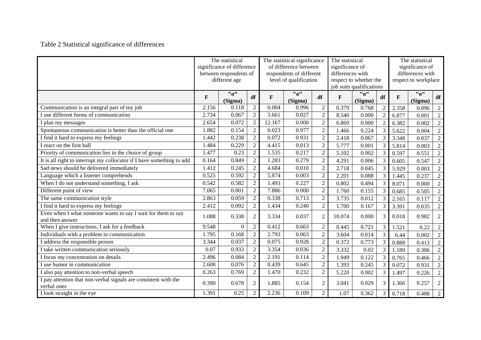# Table 2 Statistical significance of differences

|                                                                                 |              | The statistical<br>significance of difference<br>between respondents of<br>different age |                |             | The statistical significance<br>of difference between<br>respondents of different<br>level of qualification |                | The statistical<br>significance of<br>differences with | respect to whether the<br>job suits qualifications | The statistical<br>significance of<br>differences with<br>respect to workplace |              |                |                |
|---------------------------------------------------------------------------------|--------------|------------------------------------------------------------------------------------------|----------------|-------------|-------------------------------------------------------------------------------------------------------------|----------------|--------------------------------------------------------|----------------------------------------------------|--------------------------------------------------------------------------------|--------------|----------------|----------------|
|                                                                                 | $\mathbf{F}$ | $"_{\sigma"$<br>(Sigma)                                                                  | df             | $\mathbf F$ | $"_{\sigma"$<br>(Sigma)                                                                                     | df             | $\mathbf{F}$                                           | $"_{\sigma"$<br>(Sigma)                            | df                                                                             | $\mathbf{F}$ | "σ"<br>(Sigma) | df             |
| Communication is an integral part of my job                                     | 2.156        | 0.118                                                                                    | $\overline{2}$ | 0.004       | 0.996                                                                                                       | $\overline{c}$ | 0.379                                                  | 0.768                                              | $\mathcal{D}$                                                                  | 2.358        | 0.096          | $\sqrt{2}$     |
| I use different forms of communication                                          | 2.734        | 0.067                                                                                    | $\overline{2}$ | 3.661       | 0.027                                                                                                       | $\overline{c}$ | 8.540                                                  | 0.000                                              | $\overline{2}$                                                                 | 6.877        | 0.001          | $\sqrt{2}$     |
| I plan my messages                                                              | 2.654        | 0.072                                                                                    | $\overline{2}$ | 12.167      | 0.000                                                                                                       | $\overline{2}$ | 6.869                                                  | 0.000                                              | $\overline{2}$                                                                 | 6.382        | 0.002          | $\sqrt{2}$     |
| Spontaneous communication is better than the official one                       | 1.882        | 0.154                                                                                    | $\overline{2}$ | 0.023       | 0.977                                                                                                       | $\sqrt{2}$     | 1.466                                                  | 0.224                                              | 3                                                                              | 5.622        | 0.004          | $\sqrt{2}$     |
| I find it hard to express my feelings                                           | 1.442        | 0.238                                                                                    | $\overline{2}$ | 0.072       | 0.931                                                                                                       | $\overline{2}$ | 2.418                                                  | 0.067                                              | $\overline{3}$                                                                 | 3.348        | 0.037          | $\sqrt{2}$     |
| I react on the first ball                                                       | 1.484        | 0.229                                                                                    | $\overline{2}$ | 4.415       | 0.013                                                                                                       | $\overline{2}$ | 5.777                                                  | 0.001                                              | 3                                                                              | 5.814        | 0.003          | $\overline{2}$ |
| Priority of communication lies in the choice of group                           | 1.477        | 0.23                                                                                     | $\overline{2}$ | 1.535       | 0.217                                                                                                       | $\overline{2}$ | 5.102                                                  | 0.002                                              | 3                                                                              | 0.597        | 0.551          | $\sqrt{2}$     |
| It is all right to interrupt my collocutor if I have something to add           | 0.164        | 0.849                                                                                    | $\overline{2}$ | 1.283       | 0.279                                                                                                       | $\overline{2}$ | 4.291                                                  | 0.006                                              | 3                                                                              | 0.605        | 0.547          | $\sqrt{2}$     |
| Sad news should be delivered immediately                                        | 1.412        | 0.245                                                                                    | $\sqrt{2}$     | 4.684       | 0.010                                                                                                       | $\sqrt{2}$     | 2.718                                                  | 0.045                                              | 3                                                                              | 5.929        | 0.003          | $\overline{2}$ |
| Language which a listener comprehends                                           | 0.525        | 0.592                                                                                    | $\overline{2}$ | 5.874       | 0.003                                                                                                       | $\sqrt{2}$     | 2.201                                                  | 0.088                                              | 3                                                                              | 1.445        | 0.237          | $\overline{2}$ |
| When I do not understand something, I ask                                       | 0.542        | 0.582                                                                                    | $\overline{2}$ | 1.493       | 0.227                                                                                                       | $\overline{2}$ | 0.802                                                  | 0.494                                              | 3                                                                              | 8.071        | 0.000          | $\overline{2}$ |
| Different point of view                                                         | 7.065        | 0.001                                                                                    | $\overline{2}$ | 7.886       | 0.000                                                                                                       | $\overline{2}$ | 1.760                                                  | 0.155                                              | 3                                                                              | 0.685        | 0.505          | $\overline{2}$ |
| The same communication style                                                    | 2.863        | 0.059                                                                                    | $\overline{2}$ | 0.338       | 0.713                                                                                                       | $\overline{2}$ | 3.735                                                  | 0.012                                              | $\mathcal{E}$                                                                  | 2.165        | 0.117          | $\sqrt{2}$     |
| I find it hard to express my feelings                                           | 2.412        | 0.092                                                                                    | $\overline{2}$ | 1.434       | 0.240                                                                                                       | $\overline{c}$ | 1.700                                                  | 0.167                                              | $\overline{3}$                                                                 | 3.391        | 0.035          | $\overline{2}$ |
| Even when I what someone wants to say I wait for them to say<br>and then answer | 1.088        | 0.338                                                                                    | $\overline{2}$ | 3.334       | 0.037                                                                                                       | $\overline{2}$ | 10.074                                                 | 0.000                                              | 3                                                                              | 0.018        | 0.982          | $\mathfrak{2}$ |
| When I give instructions, I ask for a feedback                                  | 9.548        | $\overline{0}$                                                                           | 2              | 0.412       | 0.663                                                                                                       | $\overline{2}$ | 0.445                                                  | 0.721                                              | 3                                                                              | 1.521        | 0.22           | $\overline{2}$ |
| Individuals with a problem in communication                                     | 1.795        | 0.168                                                                                    | $\overline{2}$ | 2.793       | 0.063                                                                                                       | $\overline{2}$ | 3.604                                                  | 0.014                                              | 3                                                                              | 6.44         | 0.002          | $\sqrt{2}$     |
| I address the responsible person                                                | 3.344        | 0.037                                                                                    | $\overline{2}$ | 0.075       | 0.928                                                                                                       | $\overline{2}$ | 0.372                                                  | 0.773                                              | $\overline{3}$                                                                 | 0.888        | 0.413          | $\sqrt{2}$     |
| I take written communication seriously                                          | 0.07         | 0.933                                                                                    | $\overline{2}$ | 3.354       | 0.036                                                                                                       | $\overline{c}$ | 3.332                                                  | 0.02                                               | 3                                                                              | 1.189        | 0.306          | $\overline{2}$ |
| I focus my concentration on details                                             | 2.496        | 0.084                                                                                    | $\overline{2}$ | 2.191       | 0.114                                                                                                       | $\overline{2}$ | 1.949                                                  | 0.122                                              | 3                                                                              | 0.765        | 0.466          | $\sqrt{2}$     |
| I use humor in communication                                                    | 2.608        | 0.076                                                                                    | $\overline{2}$ | 0.439       | 0.645                                                                                                       | $\overline{2}$ | 1.393                                                  | 0.245                                              | $\overline{3}$                                                                 | 0.072        | 0.931          | $\sqrt{2}$     |
| I also pay attention to non-verbal speech                                       | 0.263        | 0.769                                                                                    | $\overline{2}$ | 1.470       | 0.232                                                                                                       | $\overline{c}$ | 5.220                                                  | 0.002                                              | 3                                                                              | 1.497        | 0.226          | $\overline{2}$ |
| I pay attention that non-verbal signals are consistent with the<br>verbal ones  | 0.390        | 0.678                                                                                    | $\overline{2}$ | 1.885       | 0.154                                                                                                       | $\overline{2}$ | 3.041                                                  | 0.029                                              | 3                                                                              | 1.366        | 0.257          | $\overline{2}$ |
| I look straight in the eye                                                      | 1.391        | 0.25                                                                                     | $\overline{2}$ | 2.236       | 0.109                                                                                                       | $\overline{2}$ | 1.07                                                   | 0.362                                              | 3                                                                              | 0.718        | 0.488          | 2              |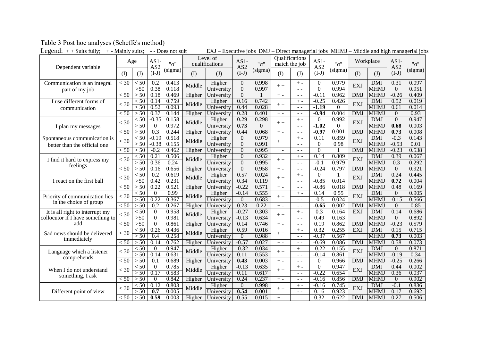| Legend: $++$ Suits fully;<br>+ - Mainly suits;           |                  |                  | - - Does not suit       |         | EXJ – Executive jobs DMJ – Direct managerial jobs MHMJ – Middle and high managerial jobs |                                |                           |          |                                 |               |                           |                   |            |             |                           |         |
|----------------------------------------------------------|------------------|------------------|-------------------------|---------|------------------------------------------------------------------------------------------|--------------------------------|---------------------------|----------|---------------------------------|---------------|---------------------------|-------------------|------------|-------------|---------------------------|---------|
| Dependent variable                                       | Age              |                  | AS1-<br>AS <sub>2</sub> | "σ"     |                                                                                          | Level of<br>qualifications     | $AS1-$<br>AS <sub>2</sub> | "o"      | Qualifications<br>match the job |               | $AS1-$<br>AS <sub>2</sub> | "σ"               |            | Workplace   | $AS1-$<br>AS <sub>2</sub> | "o"     |
|                                                          | (I)              | (J)              | $(I-J)$                 | (sigma) | (I)                                                                                      | (J)                            | $(I-J)$                   | (sigma)  | (1)                             | (J)           | $(I-J)$                   | (sigma)           | (I)        | (J)         | $(I-J)$                   | (sigma) |
| Communication is an integral                             | $\overline{<}30$ | $<$ 50           | $\overline{0.2}$        | 0.413   | Middle                                                                                   | Higher                         | $\overline{0}$            | 0.998    | $+ +$                           | $+ -$         | $\mathbf{0}$              | 0.979             | <b>EXJ</b> | <b>DMJ</b>  | 0.31                      | 0.097   |
| part of my job                                           |                  | >50              | 0.38                    | 0.118   |                                                                                          | $\overline{\text{University}}$ | $\Omega$                  | 0.997    |                                 | $\sim$ $\sim$ | $\theta$                  | 0.994             |            | <b>MHMJ</b> | $\overline{0}$            | 0.951   |
|                                                          | $\overline{<}50$ | > 50             | 0.18                    | 0.469   | Higher                                                                                   | University                     | $\Omega$                  |          | $+ -$                           | $ -$          | $-0.11$                   | 0.962             | <b>DMJ</b> | <b>MHMJ</b> | $-0.26$                   | 0.409   |
| I use different forms of                                 | $<$ 30           | < 50             | 0.14                    | 0.759   | Middle                                                                                   | Higher                         | 0.16                      | 0.742    | $+ +$                           | $+ -$         | $-0.25$                   | 0.426<br>$\Omega$ | EXJ        | <b>DMJ</b>  | 0.52                      | 0.019   |
| communication                                            |                  | > 50             | 0.52                    | 0.093   |                                                                                          | University                     | 0.44                      | 0.028    |                                 | $\sim$ $\sim$ | $-1.19$                   |                   |            | <b>MHMJ</b> | 0.61                      | 0.014   |
|                                                          | $\overline{<}50$ | > 50             | 0.37                    | 0.144   | Higher                                                                                   | University                     | 0.28                      | 0.401    | $+ -$                           | $\sim$ $\sim$ | $-0.94$                   | 0.004             | <b>DMJ</b> | <b>MHMJ</b> | $\Omega$                  | 0.93    |
|                                                          | $<$ 30           | < 50             | $-0.35$                 | 0.158   | Middle                                                                                   | Higher                         | 0.29                      | 0.298    | $+ +$                           | $+ -$<br>$ -$ | $\theta$                  | 0.992             | EXJ        | <b>DMJ</b>  | $\Omega$                  | 0.947   |
| I plan my messages                                       |                  | > 50             | $\overline{0}$          | 0.972   |                                                                                          | University                     | 0.73                      | $\Omega$ |                                 |               | $-1.02$                   | $\Omega$          |            | <b>MHMJ</b> | 0.68                      | 0.003   |
|                                                          | < 50             | > 50             | $\overline{0.3}$        | 0.244   | Higher                                                                                   | University                     | 0.44                      | 0.068    | $+ -$                           | $\sim$ $\sim$ | $-0.97$                   | 0.001             | <b>DMJ</b> | MHM.        | 0.73                      | 0.008   |
| Spontaneous communication is                             | $<$ 30           | $<$ 50           | -0.19                   | 0.518   | Middle                                                                                   | Higher                         | $\Omega$                  | 0.979    | $+ +$                           | $+ -$         | 0.11                      | 0.859             | <b>EXJ</b> | <b>DMJ</b>  | $-0.3$                    | 0.143   |
| better than the official one                             |                  | > 50             | $-0.38$                 | 0.155   |                                                                                          | University                     | $\Omega$                  | 0.991    |                                 | $ -$          | $\Omega$                  | 0.98              |            | <b>MHMJ</b> | $-0.53$                   | 0.01    |
|                                                          | $\overline{<}50$ | > 50             | $-0.2$                  | 0.462   | Higher                                                                                   | University                     | $\Omega$                  | 0.995    | $+ -$                           | $ -$          | $\Omega$                  |                   | <b>DMJ</b> | <b>MHMJ</b> | $-0.23$                   | 0.538   |
| I find it hard to express my<br>feelings                 | $<$ 30           | < 50             | 0.21                    | 0.506   | Middle                                                                                   | Higher                         | $\overline{0}$            | 0.932    | $+ +$                           | $+ -$         | 0.14                      | 0.809             | EXJ        | <b>DMJ</b>  | 0.39                      | 0.067   |
|                                                          |                  | > 50             | 0.36                    | 0.24    |                                                                                          | University                     | $\Omega$                  | 0.995    |                                 | $=$ $-$       | $-0.1$                    | 0.979             |            | <b>MHMJ</b> | 0.3                       | 0.292   |
|                                                          | $\overline{<}50$ | > 50             | 0.16                    | 0.656   | Higher                                                                                   | University                     | $\Omega$                  | 0.958    | $+ -$                           | $ -$          | $-0.24$                   | 0.797             | <b>DMJ</b> | <b>MHMJ</b> | $\mathbf{0}$              | 0.921   |
| I react on the first ball                                | $<$ 30           | $\overline{<}50$ | 0.2                     | 0.619   | Middle                                                                                   | Higher                         | 0.57                      | 0.024    | $+ +$                           | $+ -$         | $\Omega$                  |                   | <b>EXJ</b> | <b>DMJ</b>  | 0.24                      | 0.445   |
|                                                          |                  | $>50$            | 0.42                    | 0.231   |                                                                                          | University                     | 0.34                      | 0.119    |                                 | $\sim$ $\sim$ | $-0.85$                   | 0.014             |            | MHM.        | 0.72                      | 0.004   |
|                                                          | < 50             | > 50             | 0.22                    | 0.521   | Higher                                                                                   | University                     | $-0.22$                   | 0.571    | $+ -$                           | $\sim$ $\sim$ | $-0.86$                   | 0.018             | <b>DMJ</b> | <b>MHMJ</b> | 0.48                      | 0.169   |
|                                                          | $<$ 30           | < 50             | $\mathbf{0}$            | 0.99    | Middle                                                                                   | Higher                         | $-0.14$                   | 0.555    | $+ +$                           | $+ -$         | 0.14                      | 0.55              | EXJ        | <b>DMJ</b>  | $\Omega$                  | 0.905   |
| Priority of communication lies<br>in the choice of group |                  | > 50             | 0.22                    | 0.367   |                                                                                          | University                     | $\overline{0}$            | 0.683    |                                 | $ -$          | $-0.5$                    | 0.024             |            | <b>MHMJ</b> | $-0.15$                   | 0.566   |
|                                                          | $\overline{<}50$ | > 50             | 0.2                     | 0.267   | Higher                                                                                   | University                     | 0.23                      | 0.22     | $+ -$                           | $ -$          | $-0.65$                   | 0.002             | <b>DMJ</b> | <b>MHMJ</b> | $\overline{0}$            | 0.85    |
| It is all right to interrupt my                          | $<$ 30           | $\overline{<}50$ | $\mathbf{0}$            | 0.958   | Middle                                                                                   | Higher                         | $-0.27$                   | 0.303    |                                 | $+ -$         | 0.3                       | 0.164             | EXJ        | <b>DMJ</b>  | 0.14                      | 0.686   |
| collocutor if I have something to                        |                  | $>50$            | $\overline{0}$          | 0.981   |                                                                                          | University                     | $-0.13$                   | 0.634    | $+ +$                           | $\sim$ $\sim$ | 0.49                      | 0.163             |            | <b>MHMJ</b> | $\overline{0}$            | 0.892   |
| add                                                      | $\overline{<}50$ | >50              | $\boldsymbol{0}$        | 0.861   | Higher                                                                                   | University                     | 0.14                      | 0.746    | $+ -$                           | $ -$          | 0.19                      | 0.862             | <b>DMJ</b> | <b>MHMJ</b> | $-0.23$                   | 0.579   |
|                                                          |                  | < 50             | 0.26                    | 0.436   |                                                                                          | Higher                         | 0.59                      | 0.016    |                                 | $+ -$         | 0.32                      | 0.255             | EXJ        | <b>DMJ</b>  | 0.15                      | 0.715   |
| Sad news should be delivered                             | $<$ 30           | > 50             | 0.4                     | 0.258   | Middle                                                                                   | University                     | $\Omega$                  | 0.988    | $+ +$                           | $\sim$ $\sim$ | $-0.37$                   | 0.567             |            | <b>MHMJ</b> | 0.73                      | 0.003   |
| immediately                                              | < 50             | > 50             | 0.14                    | 0.762   | Higher                                                                                   | University                     | $-0.57$                   | 0.027    | $+ -$                           | $\sim$ $\sim$ | $-0.69$                   | 0.086             | <b>DMJ</b> | MHM.        | 0.58                      | 0.073   |
|                                                          |                  | $\overline{<}50$ | $\boldsymbol{0}$        | 0.947   |                                                                                          | Higher                         | $-0.32$                   | 0.034    |                                 | $+ -$         | $-0.22$                   | 0.155             |            | <b>DMJ</b>  | $\overline{0}$            | 0.871   |
| Language which a listener                                | $<$ 30           | > 50             | 0.14                    | 0.631   | Middle                                                                                   | University                     | 0.11                      | 0.553    | $+ +$                           | $ -$          | $-0.14$                   | 0.861             | EXJ        | <b>MHMJ</b> | $-0.19$                   | 0.34    |
| comprehends                                              | $\overline{<}50$ | > 50             | 0.1                     | 0.689   | Higher                                                                                   | University                     | 0.43                      | 0.003    | $+ -$                           | $ -$          | $\Omega$                  | 0.966             | <b>DMJ</b> | <b>MHMJ</b> | $-0.25$                   | 0.266   |
|                                                          |                  | < 50             | $\boldsymbol{0}$        | 0.785   |                                                                                          | Higher                         | $-0.13$                   | 0.635    |                                 | $+ -$         | $\Omega$                  | 0.947             |            | <b>DMJ</b>  | 0.44                      | 0.002   |
| When I do not understand                                 | $<$ 30           | > 50             | 0.17                    | 0.583   | Middle                                                                                   | University                     | 0.11                      | 0.617    | $++$                            | $\sim$ $\sim$ | $-0.22$                   | 0.654             | EXJ        | MHM.        | 0.36                      | 0.037   |
| something, I ask                                         | < 50             | > 50             | $\overline{0}$          | 0.842   | Higher                                                                                   | University                     | 0.24                      | 0.237    | $+ -$                           | $\sim$ $\sim$ | $-0.16$                   | 0.856             | <b>DMJ</b> | <b>MHMJ</b> | $\overline{0}$            | 0.902   |
|                                                          |                  | < 50             | 0.12                    | 0.803   |                                                                                          | Higher                         | $\overline{0}$            | 0.998    |                                 | $+ -$         | $-0.16$                   | 0.745             |            | <b>DMJ</b>  | $-0.1$                    | 0.836   |
| Different point of view                                  | $<$ 30           | > 50             | 0.7                     | 0.005   | Middle                                                                                   | University                     | 0.54                      | 0.001    | $+ +$                           | $\sim$ $\sim$ | 0.16                      | 0.923             | EXJ        | <b>MHMJ</b> | 0.17                      | 0.692   |
|                                                          | < 50             | > 50             | 0.59                    | 0.003   | Higher                                                                                   | University                     | 0.55                      | 0.015    | $+ -$                           | $ -$          | 0.32                      | 0.622             | <b>DMJ</b> | <b>MHMJ</b> | 0.27                      | 0.506   |

# Table 3 Post hoc analyses (Scheffé's method)<br>Legend:  $+ +$  Suits fully:  $+ -$  Mainly suits:  $- -$  Doe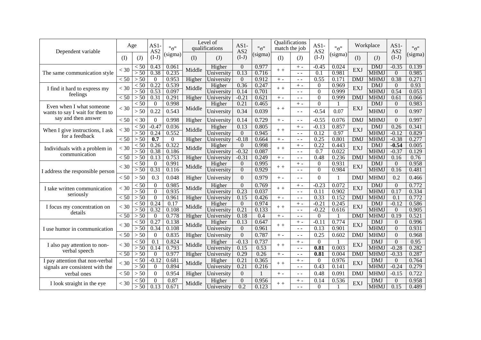| Dependent variable                                | Age              |                          | $AS1-$<br>AS <sub>2</sub> | "0"              |        | Level of<br>qualifications | $AS1-$<br>AS <sub>2</sub> | "σ"            | match the job | Qualifications         | $AS1-$<br>AS <sub>2</sub>    | "0"                   |            | Workplace<br>$AS1-$<br>AS <sub>2</sub> |                  | "0"           |
|---------------------------------------------------|------------------|--------------------------|---------------------------|------------------|--------|----------------------------|---------------------------|----------------|---------------|------------------------|------------------------------|-----------------------|------------|----------------------------------------|------------------|---------------|
|                                                   | $($ $\Gamma$     | (J)                      | $(I-J)$                   | (sigma)          | (I)    | (J)                        | $(I-J)$                   | (sigma)        | (I)           | (J)                    | $(I-J)$                      | (sigma)               | (I)        | (J)                                    | $(I-J)$          | (sigma)       |
|                                                   | $<$ 30           | $\leq 50$                | 0.43                      | 0.061            | Middle | Higher                     | $\theta$                  | 0.977          | $+ +$         | $+ -$                  | $-0.45$                      | 0.024<br>0.981<br>0.1 | EXJ        | <b>DMJ</b>                             | $-0.35$          | 0.139         |
| The same communication style                      |                  | > 50                     | 0.38                      | 0.235            |        | University                 | 0.13                      | 0.716          |               | $\sim$ $\sim$          |                              |                       |            | <b>MHMJ</b>                            | $\Omega$         | 0.985         |
|                                                   | < 50             | > 50                     | $\theta$                  | 0.953            | Higher | University                 | $\Omega$                  | 0.912          | $+ -$         | $\sim$ $\sim$          | 0.55                         | 0.171                 | <b>DMJ</b> | MHMJ                                   | 0.38             | 0.271         |
| I find it hard to express my                      | $<$ 30           | $\overline{<}50$<br>> 50 | 0.22<br>0.53              | 0.539<br>0.097   | Middle | Higher                     | 0.36<br>0.14              | 0.247<br>0.701 | $+ +$         | $+ -$                  | $\boldsymbol{0}$<br>$\Omega$ | 0.969<br>0.999        | EXJ        | <b>DMJ</b><br><b>MHMJ</b>              | $\Omega$<br>0.54 | 0.93<br>0.053 |
| feelings                                          | $\overline{<}50$ | > 50                     | 0.31                      | 0.291            |        | University                 | $-0.21$                   | 0.62           |               | $ -$                   | $\overline{0}$               | 0.999                 | <b>DMJ</b> | <b>MHMJ</b>                            |                  | 0.066         |
|                                                   |                  | $\overline{<}50$         | $\mathbf{0}$              | 0.998            | Higher | University                 | 0.21                      | 0.465          | $+ -$         | $\sim$ $\sim$<br>$+ -$ | $\overline{0}$               |                       |            | <b>DMJ</b>                             | 0.61<br>$\theta$ | 0.983         |
| Even when I what someone                          | $<$ 30           |                          |                           |                  | Middle | Higher                     |                           |                | $+ +$         |                        |                              |                       | EXJ        |                                        |                  |               |
| wants to say I wait for them to                   |                  | > 50                     | 0.22                      | 0.543            |        | University                 | 0.34                      | 0.039          |               | $=$ $-$                | $-0.54$                      | 0.07                  |            | <b>MHMJ</b>                            | $\Omega$         | 0.997         |
| say and then answer                               | < 50             | $<$ 30                   | $\Omega$                  | 0.998            | Higher | University                 | 0.14                      | 0.729          | $+ -$         | $\sim$ $\sim$          | $-0.55$                      | 0.076                 | <b>DMJ</b> | <b>MHMJ</b>                            | $\Omega$         | 0.997         |
|                                                   | $<$ 30           | $\overline{<}50$         | $-0.47$                   | 0.036            | Middle | Higher                     | 0.13                      | 0.805          | $+ +$         | $+ -$                  | $-0.13$                      | 0.857                 | EXJ        | <b>DMJ</b>                             | 0.26             | 0.341         |
| When I give instructions, I ask<br>for a feedback |                  | > 50                     | 0.24                      | 0.552            |        | University                 | $\Omega$                  | 0.945          |               | $\sim$ $\sim$          | 0.12                         | 0.97                  |            | <b>MHMJ</b>                            | $-0.12$          | 0.829         |
|                                                   | $\overline{<}50$ | > 50                     | $\overline{0.7}$          | $\boldsymbol{0}$ | Higher | University                 | $-0.18$                   | 0.664          | $+ -$         | $ -$                   | 0.25                         | 0.801                 | <b>DMJ</b> | <b>MHMJ</b>                            | $-0.38$          | 0.277         |
|                                                   | $<$ 30           | < 50                     | 0.26                      | 0.322            | Middle | Higher                     | $\Omega$                  | 0.998          | $+ +$         | $+ -$                  | 0.22                         | 0.443                 | EXJ        | <b>DMJ</b>                             | $-0.54$          | 0.005         |
| Individuals with a problem in<br>communication    |                  | > 50                     | 0.38                      | 0.186            |        | University                 | $-0.32$                   | 0.087          |               | $\sim$ $\sim$          | 0.7                          | 0.022                 |            | <b>MHMJ</b>                            | $-0.37$          | 0.129         |
|                                                   | < 50             | > 50                     | 0.13                      | 0.753            | Higher | University                 | $-0.31$                   | 0.249          | $+ -$         | $ -$                   | 0.48                         | 0.236                 | <b>DMJ</b> | <b>MHMJ</b>                            | 0.16             | 0.76          |
|                                                   | $<$ 30           | < 50                     | $\theta$                  | 0.991            | Middle | Higher                     | $\theta$                  | 0.995          | $+ +$         | $+ -$                  | 0                            | 0.931                 | EXJ        | <b>DMJ</b>                             | $\Omega$         | 0.958         |
| I address the responsible person                  |                  | > 50                     | 0.31                      | 0.116            |        | University                 | $\overline{0}$            | 0.929          |               | $=$ $-$                | $\overline{0}$               | 0.984                 |            | <b>MHMJ</b>                            | 0.16             | 0.481         |
|                                                   | < 50             | > 50                     | 0.3                       | 0.048            | Higher | University                 | $\overline{0}$            | 0.979          | $+ -$         | $\sim$ $\sim$          | $\boldsymbol{0}$             |                       | <b>DMJ</b> | <b>MHMJ</b>                            | 0.2              | 0.466         |
|                                                   | $<$ 30           | $\overline{<}50$         | $\Omega$                  | 0.985            | Middle | Higher                     | $\Omega$                  | 0.769          | $+ +$         | $+ -$                  | $-0.23$                      | 0.072                 | EXJ        | <b>DMJ</b>                             | $\Omega$         | 0.772         |
| I take written communication                      |                  | > 50                     | $\overline{0}$            | 0.935            |        | University                 | 0.23                      | 0.037          |               | $\sim$ $\sim$          | $\overline{0.11}$            | 0.902                 |            | <b>MHMJ</b>                            | 0.17             | 0.334         |
| seriously                                         | $\overline{<}50$ | > 50                     | $\Omega$                  | 0.961            | Higher | University                 | 0.15                      | 0.426          | $+ -$         | $\sim$ $\sim$          | 0.33                         | 0.152                 | <b>DMJ</b> | <b>MHMJ</b>                            | 0.1              | 0.772         |
|                                                   | $<$ 30           | $\overline{<}50$         | 0.24                      | 0.17             |        | Higher                     | $\theta$                  | 0.974          |               | $-0.21$<br>$+ -$       | 0.245                        | EXJ                   | <b>DMJ</b> | $-0.12$                                | 0.586            |               |
| I focus my concentration on<br>details            |                  | > 50                     | 0.32                      | 0.108            | Middle | University                 | 0.21                      | 0.133          | $+ +$         | $\frac{1}{2}$          | $-0.22$                      | 0.616                 |            | <b>MHMJ</b>                            | $\Omega$         | 0.905         |
|                                                   | $\overline{<}50$ | > 50                     | $\Omega$                  | 0.778            | Higher | University                 | 0.18                      | 0.4            | $+ -$         | $ -$                   | $\boldsymbol{0}$             |                       | <b>DMJ</b> | <b>MHMJ</b>                            | 0.19             | 0.521         |
|                                                   | $<$ 30           | < 50                     | 0.27                      | 0.138            | Middle | Higher                     | 0.13                      | 0.647          | $+ +$         | $+ -$                  | $-0.11$                      | 0.774                 | EXJ        | <b>DMJ</b>                             | $\theta$         | 0.996         |
| I use humor in communication                      |                  | > 50                     | 0.34                      | 0.108            |        | University                 | $\overline{0}$            | 0.961          |               | $\sim$ $\sim$          | 0.13                         | 0.901                 |            | <b>MHMJ</b>                            | $\Omega$         | 0.931         |
|                                                   | < 50             | > 50                     | $\boldsymbol{0}$          | 0.835            | Higher | University                 | $\mathbf{0}$              | 0.787          | $+ -$         | $\sim$ $\sim$          | 0.25                         | 0.602                 | <b>DMJ</b> | <b>MHMJ</b>                            | $\overline{0}$   | 0.968         |
| I also pay attention to non-                      | $<$ 30           | $\overline{<}50$         | $\overline{0.1}$          | 0.824            | Middle | Higher                     | $-0.13$                   | 0.737          | $+ +$         | $+ -$                  | $\overline{0}$               |                       | EXJ        | <b>DMJ</b>                             | $\overline{0}$   | 0.95          |
| verbal speech                                     |                  | > 50                     | 0.14                      | 0.793            |        | University                 | 0.15                      | 0.53           |               | $\sim$ $\sim$          | 0.81                         | 0.003                 |            | <b>MHMJ</b>                            | $-0.28$          | 0.282         |
|                                                   | < 50             | > 50                     | $\overline{0}$            | 0.977            | Higher | University                 | 0.29                      | 0.26           | $+ -$         | $ -$                   | 0.81                         | 0.004                 | <b>DMJ</b> | <b>MHMJ</b>                            | $-0.33$          | 0.287         |
| I pay attention that non-verbal                   | $<$ 30           | < 50                     | $-0.12$                   | 0.681            | Middle | Higher                     | 0.21                      | 0.365          | $++$          | $+ -$                  | $\overline{0}$               | 0.976                 | EXJ        | <b>DMJ</b>                             | $\theta$         | 0.764         |
| signals are consistent with the                   |                  | > 50                     | $\Omega$                  | 0.894            |        | University                 | 0.21                      | 0.216          |               | $\sim$ $\sim$          | 0.43                         | 0.141                 |            | <b>MHMJ</b>                            | $-0.24$          | 0.279         |
| verbal ones                                       | < 50             | > 50                     | $\theta$                  | 0.954            | Higher | University                 | $\overline{0}$            |                | $+ -$         | $\sim$ $\sim$          | 0.48                         | 0.091                 | <b>DMJ</b> | <b>MHMJ</b>                            | $-0.15$          | 0.722         |
| I look straight in the eye                        | $<$ 30           | < 50                     | $\theta$                  | 0.87             | Middle | Higher                     | $\Omega$                  | 0.956          | $+ +$         | $+ -$                  | 0.14                         | 0.536                 | EXJ        | <b>DMJ</b>                             | $\Omega$         | 0.958         |
|                                                   |                  | > 50                     | 0.13                      | 0.671            |        | University                 | 0.2                       | 0.123          |               | $ -$                   | $\Omega$                     |                       |            | <b>MHMJ</b>                            | 0.15             | 0.489         |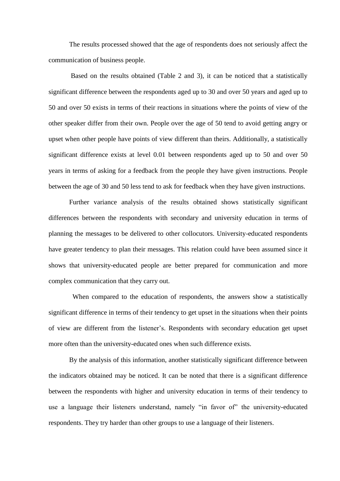The results processed showed that the age of respondents does not seriously affect the communication of business people.

Based on the results obtained (Table 2 and 3), it can be noticed that a statistically significant difference between the respondents aged up to 30 and over 50 years and aged up to 50 and over 50 exists in terms of their reactions in situations where the points of view of the other speaker differ from their own. People over the age of 50 tend to avoid getting angry or upset when other people have points of view different than theirs. Additionally, a statistically significant difference exists at level 0.01 between respondents aged up to 50 and over 50 years in terms of asking for a feedback from the people they have given instructions. People between the age of 30 and 50 less tend to ask for feedback when they have given instructions.

Further variance analysis of the results obtained shows statistically significant differences between the respondents with secondary and university education in terms of planning the messages to be delivered to other collocutors. University-educated respondents have greater tendency to plan their messages. This relation could have been assumed since it shows that university-educated people are better prepared for communication and more complex communication that they carry out.

 When compared to the education of respondents, the answers show a statistically significant difference in terms of their tendency to get upset in the situations when their points of view are different from the listener's. Respondents with secondary education get upset more often than the university-educated ones when such difference exists.

By the analysis of this information, another statistically significant difference between the indicators obtained may be noticed. It can be noted that there is a significant difference between the respondents with higher and university education in terms of their tendency to use a language their listeners understand, namely "in favor of" the university-educated respondents. They try harder than other groups to use a language of their listeners.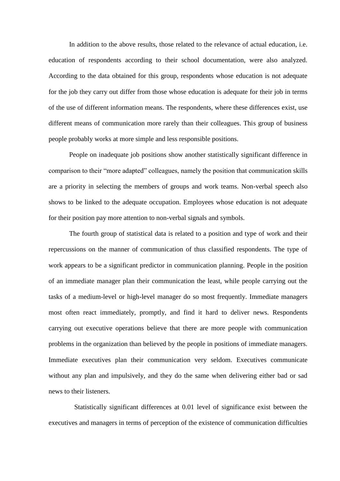In addition to the above results, those related to the relevance of actual education, i.e. education of respondents according to their school documentation, were also analyzed. According to the data obtained for this group, respondents whose education is not adequate for the job they carry out differ from those whose education is adequate for their job in terms of the use of different information means. The respondents, where these differences exist, use different means of communication more rarely than their colleagues. This group of business people probably works at more simple and less responsible positions.

People on inadequate job positions show another statistically significant difference in comparison to their "more adapted" colleagues, namely the position that communication skills are a priority in selecting the members of groups and work teams. Non-verbal speech also shows to be linked to the adequate occupation. Employees whose education is not adequate for their position pay more attention to non-verbal signals and symbols.

The fourth group of statistical data is related to a position and type of work and their repercussions on the manner of communication of thus classified respondents. The type of work appears to be a significant predictor in communication planning. People in the position of an immediate manager plan their communication the least, while people carrying out the tasks of a medium-level or high-level manager do so most frequently. Immediate managers most often react immediately, promptly, and find it hard to deliver news. Respondents carrying out executive operations believe that there are more people with communication problems in the organization than believed by the people in positions of immediate managers. Immediate executives plan their communication very seldom. Executives communicate without any plan and impulsively, and they do the same when delivering either bad or sad news to their listeners.

 Statistically significant differences at 0.01 level of significance exist between the executives and managers in terms of perception of the existence of communication difficulties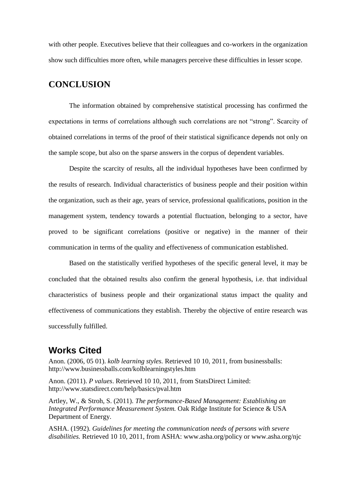with other people. Executives believe that their colleagues and co-workers in the organization show such difficulties more often, while managers perceive these difficulties in lesser scope.

## **CONCLUSION**

The information obtained by comprehensive statistical processing has confirmed the expectations in terms of correlations although such correlations are not "strong". Scarcity of obtained correlations in terms of the proof of their statistical significance depends not only on the sample scope, but also on the sparse answers in the corpus of dependent variables.

Despite the scarcity of results, all the individual hypotheses have been confirmed by the results of research. Individual characteristics of business people and their position within the organization, such as their age, years of service, professional qualifications, position in the management system, tendency towards a potential fluctuation, belonging to a sector, have proved to be significant correlations (positive or negative) in the manner of their communication in terms of the quality and effectiveness of communication established.

Based on the statistically verified hypotheses of the specific general level, it may be concluded that the obtained results also confirm the general hypothesis, i.e. that individual characteristics of business people and their organizational status impact the quality and effectiveness of communications they establish. Thereby the objective of entire research was successfully fulfilled.

# **Works Cited**

Anon. (2006, 05 01). *kolb learning styles.* Retrieved 10 10, 2011, from businessballs: http://www.businessballs.com/kolblearningstyles.htm

Anon. (2011). *P values*. Retrieved 10 10, 2011, from StatsDirect Limited: http://www.statsdirect.com/help/basics/pval.htm

Artley, W., & Stroh, S. (2011). *The performance-Based Management: Establishing an Integrated Performance Measurement System.* Oak Ridge Institute for Science & USA Department of Energy.

ASHA. (1992). *Guidelines for meeting the communication needs of persons with severe disabilities.* Retrieved 10 10, 2011, from ASHA: www.asha.org/policy or www.asha.org/njc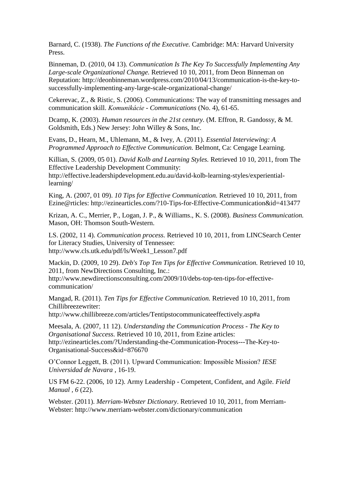Barnard, C. (1938). *The Functions of the Executive.* Cambridge: MA: Harvard University Press.

Binneman, D. (2010, 04 13). *Communication Is The Key To Successfully Implementing Any Large-scale Organizational Change.* Retrieved 10 10, 2011, from Deon Binneman on Reputation: http://deonbinneman.wordpress.com/2010/04/13/communication-is-the-key-tosuccessfully-implementing-any-large-scale-organizational-change/

Cekerevac, Z., & Ristic, S. (2006). Communications: The way of transmitting messages and communication skill. *Komunikácie - Communications* (No. 4), 61-65.

Dcamp, K. (2003). *Human resources in the 21st century.* (M. Effron, R. Gandossy, & M. Goldsmith, Eds.) New Jersey: John Willey & Sons, Inc.

Evans, D., Hearn, M., Uhlemann, M., & Ivey, A. (2011). *Essential Interviewing: A Programmed Approach to Effective Communication.* Belmont, Ca: Cengage Learning.

Killian, S. (2009, 05 01). *David Kolb and Learning Styles.* Retrieved 10 10, 2011, from The Effective Leadership Development Community:

http://effective.leadershipdevelopment.edu.au/david-kolb-learning-styles/experientiallearning/

King, A. (2007, 01 09). *10 Tips for Effective Communication.* Retrieved 10 10, 2011, from Ezine@rticles: http://ezinearticles.com/?10-Tips-for-Effective-Communication&id=413477

Krizan, A. C., Merrier, P., Logan, J. P., & Williams., K. S. (2008). *Business Communication.* Mason, OH: Thomson South-Western.

LS. (2002, 11 4). *Communication process.* Retrieved 10 10, 2011, from LINCSearch Center for Literacy Studies, University of Tennessee: http://www.cls.utk.edu/pdf/ls/Week1\_Lesson7.pdf

Mackin, D. (2009, 10 29). *Deb's Top Ten Tips for Effective Communication.* Retrieved 10 10, 2011, from NewDirections Consulting, Inc.:

http://www.newdirectionsconsulting.com/2009/10/debs-top-ten-tips-for-effectivecommunication/

Mangad, R. (2011). *Ten Tips for Effective Communication.* Retrieved 10 10, 2011, from Chillibreezewriter:

http://www.chillibreeze.com/articles/Tentipstocommunicateeffectively.asp#a

Meesala, A. (2007, 11 12). *Understanding the Communication Process - The Key to Organisational Success.* Retrieved 10 10, 2011, from Ezine articles: http://ezinearticles.com/?Understanding-the-Communication-Process---The-Key-to-Organisational-Success&id=876670

O'Connor Leggett, B. (2011). Upward Communication: Impossible Mission? *IESE Universidad de Navara* , 16-19.

US FM 6-22. (2006, 10 12). Army Leadership - Competent, Confident, and Agile. *Field Manual , 6* (22).

Webster. (2011). *Merriam-Webster Dictionary*. Retrieved 10 10, 2011, from Merriam-Webster: http://www.merriam-webster.com/dictionary/communication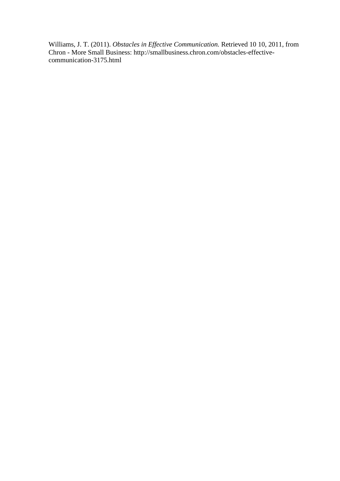Williams, J. T. (2011). *Obstacles in Effective Communication.* Retrieved 10 10, 2011, from Chron - More Small Business: http://smallbusiness.chron.com/obstacles-effectivecommunication-3175.html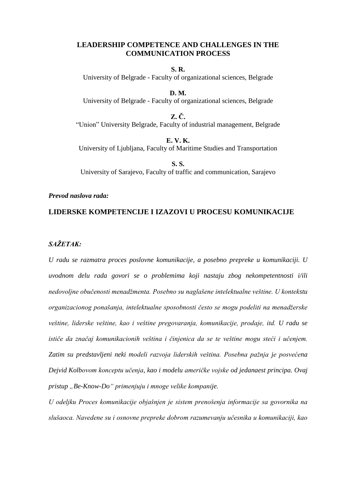## **LEADERSHIP COMPETENCE AND CHALLENGES IN THE COMMUNICATION PROCESS**

**S. R.** University of Belgrade - Faculty of organizational sciences, Belgrade

**D. M.** University of Belgrade - Faculty of organizational sciences, Belgrade

**Z. Č.** "Union" University Belgrade, Faculty of industrial management, Belgrade

**E. V. K.** University of Ljubljana, Faculty of Maritime Studies and Transportation

**S. S.** University of Sarajevo, Faculty of traffic and communication, Sarajevo

#### *Prevod naslova rada:*

## **LIDERSKE KOMPETENCIJE I IZAZOVI U PROCESU KOMUNIKACIJE**

## *SAŽETAK:*

*U radu se razmatra proces poslovne komunikacije, a posebno prepreke u komunikaciji. U uvodnom delu rada govori se o problemima koji nastaju zbog nekompetentnosti i/ili nedovoljne obučenosti menadžmenta. Posebno su naglašene intelektualne veštine. U kontekstu organizacionog ponašanja, intelektualne sposobnosti često se mogu podeliti na menadžerske veštine, liderske veštine, kao i veštine pregovaranja, komunikacije, prodaje, itd. U radu se ističe da značaj komunikacionih veština i činjenica da se te veštine mogu steći i učenjem. Zatim su predstavljeni neki modeli razvoja liderskih veština. Posebna pažnja je posvećena Dejvid Kolbovom konceptu učenja, kao i modelu američke vojske od jedanaest principa. Ovaj pristup "Be-Know-Do" primenjuju i mnoge velike kompanije.*

*U odeljku Proces komunikacije objašnjen je sistem prenošenja informacije sa govornika na slušaoca. Navedene su i osnovne prepreke dobrom razumevanju učesnika u komunikaciji, kao*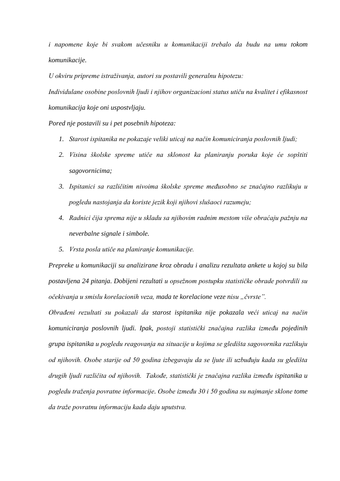*i napomene koje bi svakom učesniku u komunikaciji trebalo da budu na umu tokom komunikacije.*

*U okviru pripreme istraživanja, autori su postavili generalnu hipotezu:* 

*Individulane osobine poslovnih ljudi i njihov organizacioni status utiču na kvalitet i efikasnost komunikacija koje oni uspostvljaju.*

*Pored nje postavili su i pet posebnih hipoteza:*

- *1. Starost ispitanika ne pokazaje veliki uticaj na način komuniciranja poslovnih ljudi;*
- *2. Visina školske spreme utiče na sklonost ka planiranju poruka koje će sopštiti sagovornicima;*
- *3. Ispitanici sa različitim nivoima školske spreme međusobno se značajno razlikuju u pogledu nastojanja da koriste jezik koji njihovi slušaoci razumeju;*
- *4. Radnici čija sprema nije u skladu sa njihovim radnim mestom više obraćaju pažnju na neverbalne signale i simbole.*
- *5. Vrsta posla utiče na planiranje komunikacije.*

*Prepreke u komunikaciji su analizirane kroz obradu i analizu rezultata ankete u kojoj su bila postavljena 24 pitanja. Dobijeni rezultati u opsežnom postupku statističke obrade potvrdili su očekivanja u smislu korelacionih veza, mada te korelacione veze nisu "čvrste".* 

*Obrađeni rezultati su pokazali da starost ispitanika nije pokazala veći uticaj na način komuniciranja poslovnih ljudi. Ipak, postoji statistički značajna razlika između pojedinih grupa ispitanika u pogledu reagovanja na situacije u kojima se gledišta sagovornika razlikuju od njihovih. Osobe starije od 50 godina izbegavaju da se ljute ili uzbuđuju kada su gledišta drugih ljudi različita od njihovih. Takođe, statistički je značajna razlika između ispitanika u pogledu traženja povratne informacije. Osobe između 30 i 50 godina su najmanje sklone tome da traže povratnu informaciju kada daju uputstva.*